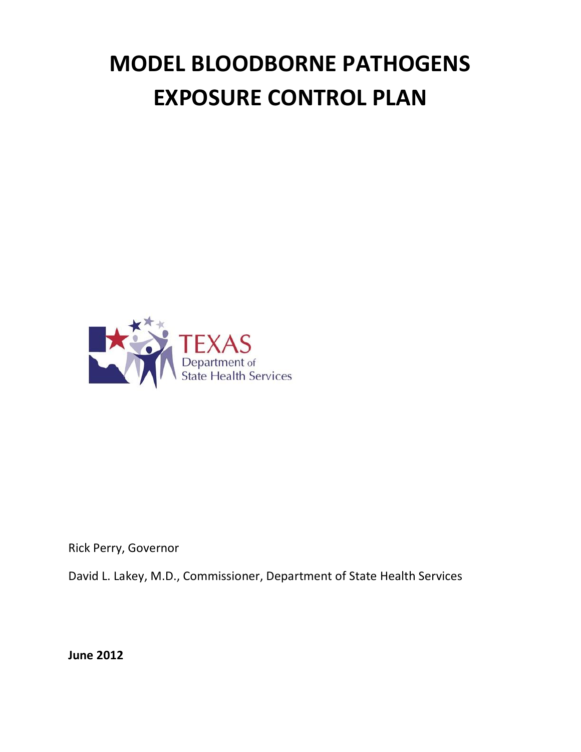# **MODEL BLOODBORNE PATHOGENS EXPOSURE CONTROL PLAN**



Rick Perry, Governor

David L. Lakey, M.D., Commissioner, Department of State Health Services

**June 2012**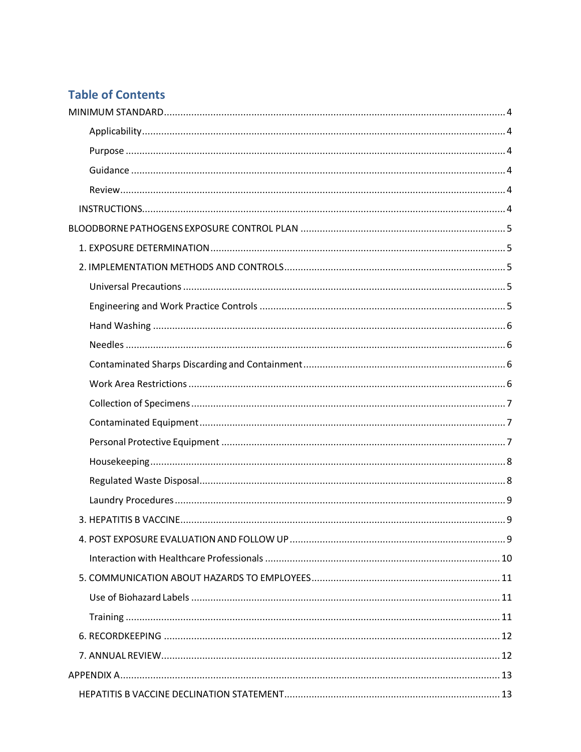# **Table of Contents**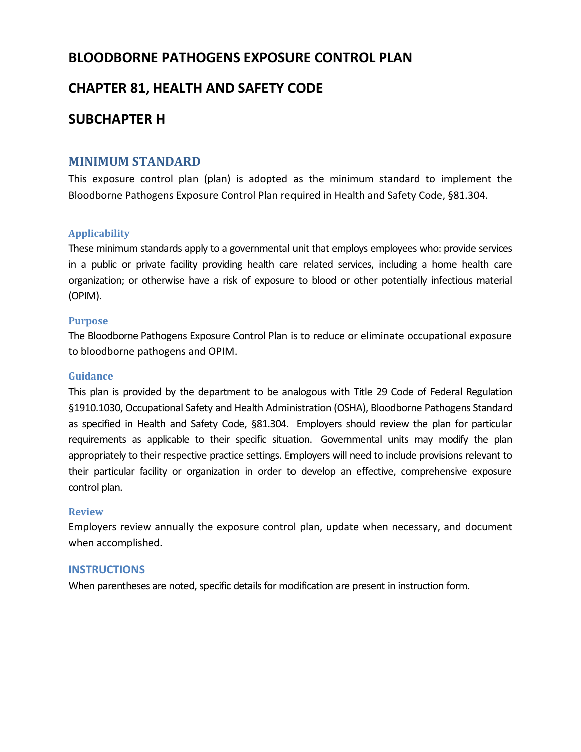# **BLOODBORNE PATHOGENS EXPOSURE CONTROL PLAN**

# **CHAPTER 81, HEALTH AND SAFETY CODE**

# **SUBCHAPTER H**

## <span id="page-3-0"></span>**MINIMUM STANDARD**

This exposure control plan (plan) is adopted as the minimum standard to implement the Bloodborne Pathogens Exposure Control Plan required in Health and Safety Code, §81.304.

#### <span id="page-3-1"></span>**Applicability**

These minimum standards apply to a governmental unit that employs employees who: provide services in a public or private facility providing health care related services, including a home health care organization; or otherwise have a risk of exposure to blood or other potentially infectious material (OPIM).

#### <span id="page-3-2"></span>**Purpose**

The Bloodborne Pathogens Exposure Control Plan is to reduce or eliminate occupational exposure to bloodborne pathogens and OPIM.

#### <span id="page-3-3"></span>**Guidance**

This plan is provided by the department to be analogous with Title 29 Code of Federal Regulation §1910.1030, Occupational Safety and Health Administration (OSHA), Bloodborne Pathogens Standard as specified in Health and Safety Code, §81.304. Employers should review the plan for particular requirements as applicable to their specific situation. Governmental units may modify the plan appropriately to their respective practice settings. Employers will need to include provisions relevant to their particular facility or organization in order to develop an effective, comprehensive exposure control plan.

#### <span id="page-3-4"></span>**Review**

Employers review annually the exposure control plan, update when necessary, and document when accomplished.

#### <span id="page-3-5"></span>**INSTRUCTIONS**

When parentheses are noted, specific details for modification are present in instruction form.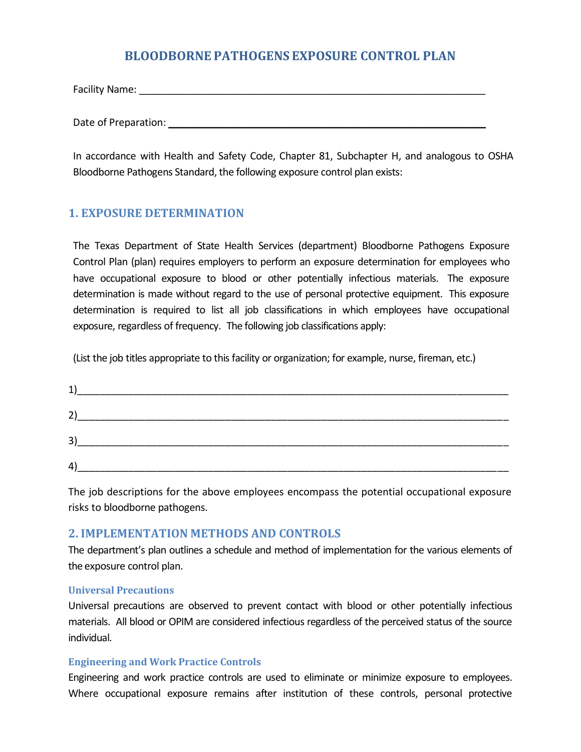# **BLOODBORNE PATHOGENS EXPOSURE CONTROL PLAN**

<span id="page-4-0"></span>Facility Name: \_\_\_\_\_\_\_\_\_\_\_\_\_\_\_\_\_\_\_\_\_\_\_\_\_\_\_\_\_\_\_\_\_\_\_\_\_\_\_\_\_\_\_\_\_\_\_\_\_\_\_\_\_\_\_\_\_\_\_\_\_

Date of Preparation: \_\_\_\_\_\_\_\_\_\_\_\_\_\_\_\_\_\_\_\_\_\_\_\_\_\_\_\_\_\_\_\_\_\_\_\_\_\_\_\_\_\_\_\_\_\_\_\_\_\_\_\_\_\_\_\_

In accordance with Health and Safety Code, Chapter 81, Subchapter H, and analogous to OSHA Bloodborne Pathogens Standard, the following exposure control plan exists:

# <span id="page-4-1"></span>**1. EXPOSURE DETERMINATION**

The Texas Department of State Health Services (department) Bloodborne Pathogens Exposure Control Plan (plan) requires employers to perform an exposure determination for employees who have occupational exposure to blood or other potentially infectious materials. The exposure determination is made without regard to the use of personal protective equipment. This exposure determination is required to list all job classifications in which employees have occupational exposure, regardless of frequency. The following job classifications apply:

(List the job titles appropriate to this facility or organization; for example, nurse, fireman, etc.)

| 1) |  |  |
|----|--|--|
| 2) |  |  |
| 3) |  |  |
| 4) |  |  |

The job descriptions for the above employees encompass the potential occupational exposure risks to bloodborne pathogens.

## <span id="page-4-2"></span>**2. IMPLEMENTATION METHODS AND CONTROLS**

The department's plan outlines a schedule and method of implementation for the various elements of the exposure control plan.

#### <span id="page-4-3"></span>**Universal Precautions**

Universal precautions are observed to prevent contact with blood or other potentially infectious materials. All blood or OPIM are considered infectious regardless of the perceived status of the source individual.

#### <span id="page-4-4"></span>**Engineering and Work Practice Controls**

Engineering and work practice controls are used to eliminate or minimize exposure to employees. Where occupational exposure remains after institution of these controls, personal protective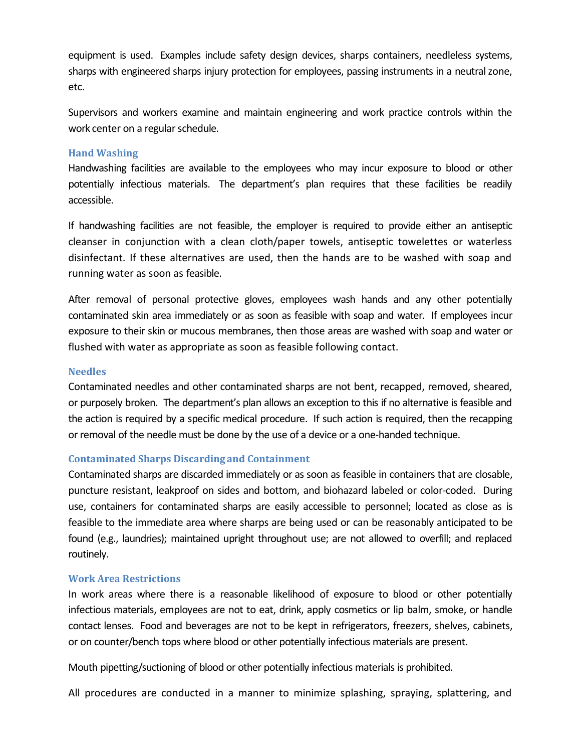equipment is used. Examples include safety design devices, sharps containers, needleless systems, sharps with engineered sharps injury protection for employees, passing instruments in a neutral zone, etc.

Supervisors and workers examine and maintain engineering and work practice controls within the work center on a regular schedule.

#### <span id="page-5-0"></span>**Hand Washing**

Handwashing facilities are available to the employees who may incur exposure to blood or other potentially infectious materials. The department's plan requires that these facilities be readily accessible.

If handwashing facilities are not feasible, the employer is required to provide either an antiseptic cleanser in conjunction with a clean cloth/paper towels, antiseptic towelettes or waterless disinfectant. If these alternatives are used, then the hands are to be washed with soap and running water as soon as feasible.

After removal of personal protective gloves, employees wash hands and any other potentially contaminated skin area immediately or as soon as feasible with soap and water. If employees incur exposure to their skin or mucous membranes, then those areas are washed with soap and water or flushed with water as appropriate as soon as feasible following contact.

#### <span id="page-5-1"></span>**Needles**

Contaminated needles and other contaminated sharps are not bent, recapped, removed, sheared, or purposely broken. The department's plan allows an exception to this if no alternative is feasible and the action is required by a specific medical procedure. If such action is required, then the recapping or removal of the needle must be done by the use of a device or a one-handed technique.

#### <span id="page-5-2"></span>**Contaminated Sharps Discarding and Containment**

Contaminated sharps are discarded immediately or as soon as feasible in containers that are closable, puncture resistant, leakproof on sides and bottom, and biohazard labeled or color-coded. During use, containers for contaminated sharps are easily accessible to personnel; located as close as is feasible to the immediate area where sharps are being used or can be reasonably anticipated to be found (e.g., laundries); maintained upright throughout use; are not allowed to overfill; and replaced routinely.

#### <span id="page-5-3"></span>**Work Area Restrictions**

In work areas where there is a reasonable likelihood of exposure to blood or other potentially infectious materials, employees are not to eat, drink, apply cosmetics or lip balm, smoke, or handle contact lenses. Food and beverages are not to be kept in refrigerators, freezers, shelves, cabinets, or on counter/bench tops where blood or other potentially infectious materials are present.

Mouth pipetting/suctioning of blood or other potentially infectious materials is prohibited.

All procedures are conducted in a manner to minimize splashing, spraying, splattering, and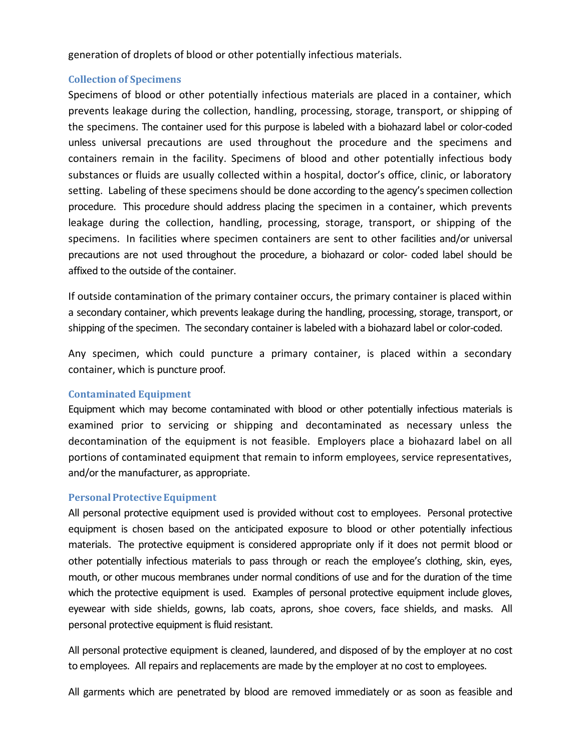generation of droplets of blood or other potentially infectious materials.

#### <span id="page-6-0"></span>**Collection of Specimens**

Specimens of blood or other potentially infectious materials are placed in a container, which prevents leakage during the collection, handling, processing, storage, transport, or shipping of the specimens. The container used for this purpose is labeled with a biohazard label or color-coded unless universal precautions are used throughout the procedure and the specimens and containers remain in the facility. Specimens of blood and other potentially infectious body substances or fluids are usually collected within a hospital, doctor's office, clinic, or laboratory setting. Labeling of these specimens should be done according to the agency's specimen collection procedure. This procedure should address placing the specimen in a container, which prevents leakage during the collection, handling, processing, storage, transport, or shipping of the specimens. In facilities where specimen containers are sent to other facilities and/or universal precautions are not used throughout the procedure, a biohazard or color- coded label should be affixed to the outside of the container.

If outside contamination of the primary container occurs, the primary container is placed within a secondary container, which prevents leakage during the handling, processing, storage, transport, or shipping of the specimen. The secondary container is labeled with a biohazard label or color-coded.

Any specimen, which could puncture a primary container, is placed within a secondary container, which is puncture proof.

#### <span id="page-6-1"></span>**Contaminated Equipment**

Equipment which may become contaminated with blood or other potentially infectious materials is examined prior to servicing or shipping and decontaminated as necessary unless the decontamination of the equipment is not feasible. Employers place a biohazard label on all portions of contaminated equipment that remain to inform employees, service representatives, and/or the manufacturer, as appropriate.

#### <span id="page-6-2"></span>**Personal Protective Equipment**

All personal protective equipment used is provided without cost to employees. Personal protective equipment is chosen based on the anticipated exposure to blood or other potentially infectious materials. The protective equipment is considered appropriate only if it does not permit blood or other potentially infectious materials to pass through or reach the employee's clothing, skin, eyes, mouth, or other mucous membranes under normal conditions of use and for the duration of the time which the protective equipment is used. Examples of personal protective equipment include gloves, eyewear with side shields, gowns, lab coats, aprons, shoe covers, face shields, and masks. All personal protective equipment is fluid resistant.

All personal protective equipment is cleaned, laundered, and disposed of by the employer at no cost to employees. All repairs and replacements are made by the employer at no cost to employees.

All garments which are penetrated by blood are removed immediately or as soon as feasible and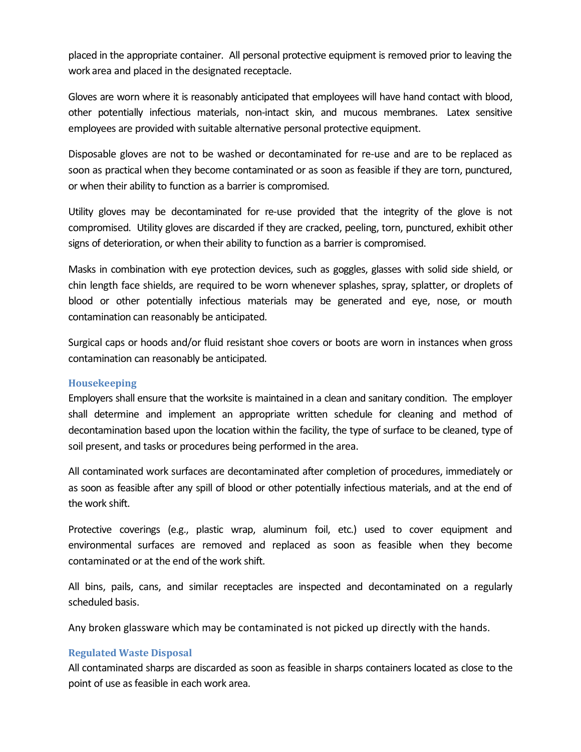placed in the appropriate container. All personal protective equipment is removed prior to leaving the work area and placed in the designated receptacle.

Gloves are worn where it is reasonably anticipated that employees will have hand contact with blood, other potentially infectious materials, non-intact skin, and mucous membranes. Latex sensitive employees are provided with suitable alternative personal protective equipment.

Disposable gloves are not to be washed or decontaminated for re-use and are to be replaced as soon as practical when they become contaminated or as soon as feasible if they are torn, punctured, or when their ability to function as a barrier is compromised.

Utility gloves may be decontaminated for re-use provided that the integrity of the glove is not compromised. Utility gloves are discarded if they are cracked, peeling, torn, punctured, exhibit other signs of deterioration, or when their ability to function as a barrier is compromised.

Masks in combination with eye protection devices, such as goggles, glasses with solid side shield, or chin length face shields, are required to be worn whenever splashes, spray, splatter, or droplets of blood or other potentially infectious materials may be generated and eye, nose, or mouth contamination can reasonably be anticipated.

Surgical caps or hoods and/or fluid resistant shoe covers or boots are worn in instances when gross contamination can reasonably be anticipated.

#### <span id="page-7-0"></span>**Housekeeping**

Employers shall ensure that the worksite is maintained in a clean and sanitary condition. The employer shall determine and implement an appropriate written schedule for cleaning and method of decontamination based upon the location within the facility, the type of surface to be cleaned, type of soil present, and tasks or procedures being performed in the area.

All contaminated work surfaces are decontaminated after completion of procedures, immediately or as soon as feasible after any spill of blood or other potentially infectious materials, and at the end of the work shift.

Protective coverings (e.g., plastic wrap, aluminum foil, etc.) used to cover equipment and environmental surfaces are removed and replaced as soon as feasible when they become contaminated or at the end of the work shift.

All bins, pails, cans, and similar receptacles are inspected and decontaminated on a regularly scheduled basis.

Any broken glassware which may be contaminated is not picked up directly with the hands.

## <span id="page-7-1"></span>**Regulated Waste Disposal**

All contaminated sharps are discarded as soon as feasible in sharps containers located as close to the point of use as feasible in each work area.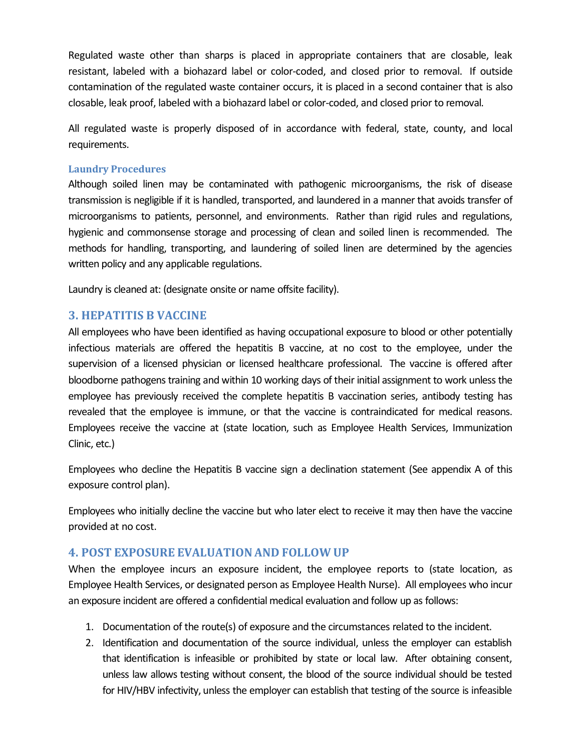Regulated waste other than sharps is placed in appropriate containers that are closable, leak resistant, labeled with a biohazard label or color-coded, and closed prior to removal. If outside contamination of the regulated waste container occurs, it is placed in a second container that is also closable, leak proof, labeled with a biohazard label or color-coded, and closed prior to removal.

All regulated waste is properly disposed of in accordance with federal, state, county, and local requirements.

#### <span id="page-8-0"></span>**Laundry Procedures**

Although soiled linen may be contaminated with pathogenic microorganisms, the risk of disease transmission is negligible if it is handled, transported, and laundered in a manner that avoids transfer of microorganisms to patients, personnel, and environments. Rather than rigid rules and regulations, hygienic and commonsense storage and processing of clean and soiled linen is recommended. The methods for handling, transporting, and laundering of soiled linen are determined by the agencies written policy and any applicable regulations.

Laundry is cleaned at: (designate onsite or name offsite facility).

## <span id="page-8-1"></span>**3. HEPATITIS B VACCINE**

All employees who have been identified as having occupational exposure to blood or other potentially infectious materials are offered the hepatitis B vaccine, at no cost to the employee, under the supervision of a licensed physician or licensed healthcare professional. The vaccine is offered after bloodborne pathogens training and within 10 working days of their initial assignment to work unless the employee has previously received the complete hepatitis B vaccination series, antibody testing has revealed that the employee is immune, or that the vaccine is contraindicated for medical reasons. Employees receive the vaccine at (state location, such as Employee Health Services, Immunization Clinic, etc.)

Employees who decline the Hepatitis B vaccine sign a declination statement (See appendix A of this exposure control plan).

Employees who initially decline the vaccine but who later elect to receive it may then have the vaccine provided at no cost.

## <span id="page-8-2"></span>**4. POST EXPOSURE EVALUATIONAND FOLLOW UP**

When the employee incurs an exposure incident, the employee reports to (state location, as Employee Health Services, or designated person as Employee Health Nurse). All employees who incur an exposure incident are offered a confidential medical evaluation and follow up as follows:

- 1. Documentation of the route(s) of exposure and the circumstances related to the incident.
- 2. Identification and documentation of the source individual, unless the employer can establish that identification is infeasible or prohibited by state or local law. After obtaining consent, unless law allows testing without consent, the blood of the source individual should be tested for HIV/HBV infectivity, unless the employer can establish that testing of the source is infeasible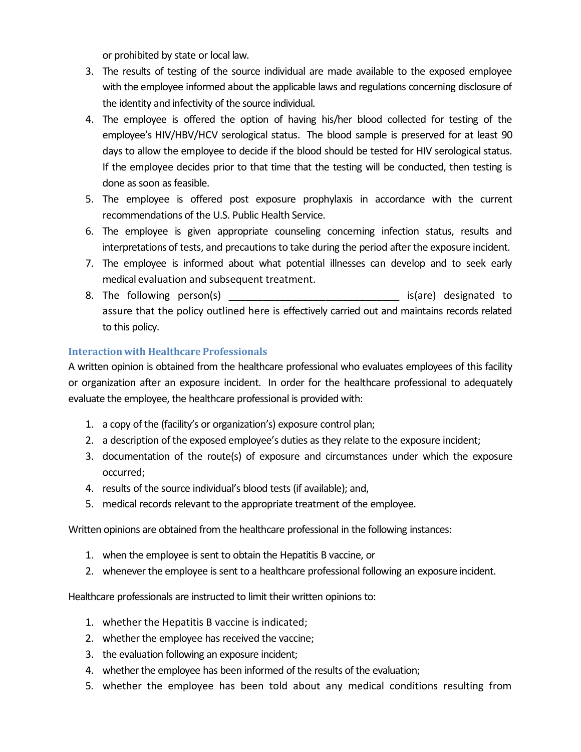or prohibited by state or local law.

- 3. The results of testing of the source individual are made available to the exposed employee with the employee informed about the applicable laws and regulations concerning disclosure of the identity and infectivity of the source individual.
- 4. The employee is offered the option of having his/her blood collected for testing of the employee's HIV/HBV/HCV serological status. The blood sample is preserved for at least 90 days to allow the employee to decide if the blood should be tested for HIV serological status. If the employee decides prior to that time that the testing will be conducted, then testing is done as soon as feasible.
- 5. The employee is offered post exposure prophylaxis in accordance with the current recommendations of the U.S. Public Health Service.
- 6. The employee is given appropriate counseling concerning infection status, results and interpretations of tests, and precautions to take during the period after the exposure incident.
- 7. The employee is informed about what potential illnesses can develop and to seek early medical evaluation and subsequent treatment.
- 8. The following person(s) \_\_\_\_\_\_\_\_\_\_\_\_\_\_\_\_\_\_\_\_\_\_\_\_\_\_\_\_\_\_ is(are) designated to assure that the policy outlined here is effectively carried out and maintains records related to this policy.

## <span id="page-9-0"></span>**Interaction with Healthcare Professionals**

A written opinion is obtained from the healthcare professional who evaluates employees of this facility or organization after an exposure incident. In order for the healthcare professional to adequately evaluate the employee, the healthcare professional is provided with:

- 1. a copy of the (facility's or organization's) exposure control plan;
- 2. a description of the exposed employee's duties as they relate to the exposure incident;
- 3. documentation of the route(s) of exposure and circumstances under which the exposure occurred;
- 4. results of the source individual's blood tests (if available); and,
- 5. medical records relevant to the appropriate treatment of the employee.

Written opinions are obtained from the healthcare professional in the following instances:

- 1. when the employee is sent to obtain the Hepatitis B vaccine, or
- 2. whenever the employee is sent to a healthcare professional following an exposure incident.

Healthcare professionals are instructed to limit their written opinions to:

- 1. whether the Hepatitis B vaccine is indicated;
- 2. whether the employee has received the vaccine;
- 3. the evaluation following an exposure incident;
- 4. whether the employee has been informed of the results of the evaluation;
- 5. whether the employee has been told about any medical conditions resulting from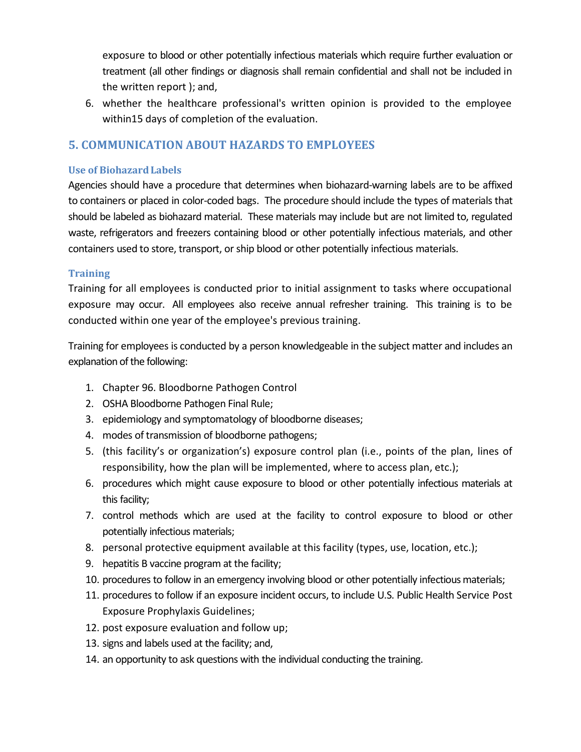exposure to blood or other potentially infectious materials which require further evaluation or treatment (all other findings or diagnosis shall remain confidential and shall not be included in the written report ); and,

6. whether the healthcare professional's written opinion is provided to the employee within15 days of completion of the evaluation.

# <span id="page-10-0"></span>**5. COMMUNICATION ABOUT HAZARDS TO EMPLOYEES**

## <span id="page-10-1"></span>**Use of BiohazardLabels**

Agencies should have a procedure that determines when biohazard-warning labels are to be affixed to containers or placed in color-coded bags. The procedure should include the types of materials that should be labeled as biohazard material. These materials may include but are not limited to, regulated waste, refrigerators and freezers containing blood or other potentially infectious materials, and other containers used to store, transport, orship blood or other potentially infectious materials.

#### <span id="page-10-2"></span>**Training**

Training for all employees is conducted prior to initial assignment to tasks where occupational exposure may occur. All employees also receive annual refresher training. This training is to be conducted within one year of the employee's previous training.

Training for employees is conducted by a person knowledgeable in the subject matter and includes an explanation of the following:

- 1. Chapter 96. Bloodborne Pathogen Control
- 2. OSHA Bloodborne Pathogen Final Rule;
- 3. epidemiology and symptomatology of bloodborne diseases;
- 4. modes of transmission of bloodborne pathogens;
- 5. (this facility's or organization's) exposure control plan (i.e., points of the plan, lines of responsibility, how the plan will be implemented, where to access plan, etc.);
- 6. procedures which might cause exposure to blood or other potentially infectious materials at this facility;
- 7. control methods which are used at the facility to control exposure to blood or other potentially infectious materials;
- 8. personal protective equipment available at this facility (types, use, location, etc.);
- 9. hepatitis B vaccine program at the facility;
- 10. procedures to follow in an emergency involving blood or other potentially infectious materials;
- 11. procedures to follow if an exposure incident occurs, to include U.S. Public Health Service Post Exposure Prophylaxis Guidelines;
- 12. post exposure evaluation and follow up;
- 13. signs and labels used at the facility; and,
- 14. an opportunity to ask questions with the individual conducting the training.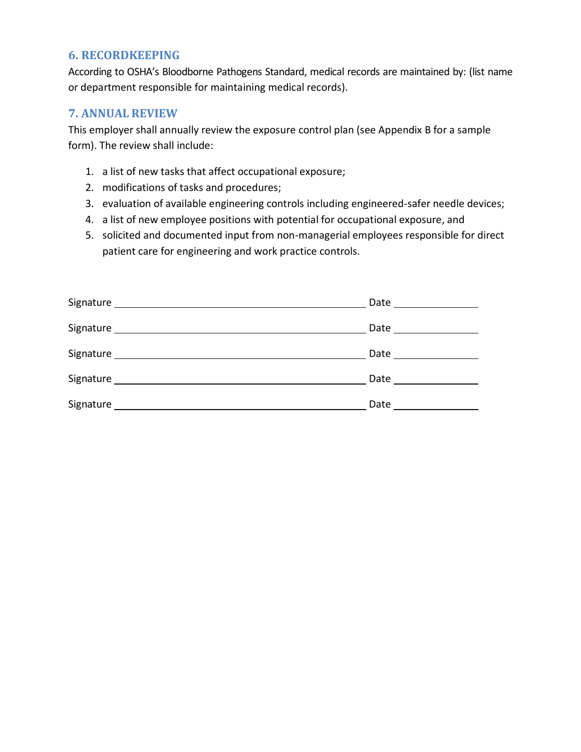## <span id="page-11-0"></span>**6. RECORDKEEPING**

According to OSHA's Bloodborne Pathogens Standard, medical records are maintained by: (list name or department responsible for maintaining medical records).

## <span id="page-11-1"></span>**7. ANNUAL REVIEW**

This employer shall annually review the exposure control plan (see Appendix B for a sample form). The review shall include:

- 1. a list of new tasks that affect occupational exposure;
- 2. modifications of tasks and procedures;
- 3. evaluation of available engineering controls including engineered-safer needle devices;
- 4. a list of new employee positions with potential for occupational exposure, and
- 5. solicited and documented input from non-managerial employees responsible for direct patient care for engineering and work practice controls.

|                          | Date                 |
|--------------------------|----------------------|
|                          | Date _______________ |
|                          |                      |
| Signature ______________ | Date                 |
| Signature_               | Date                 |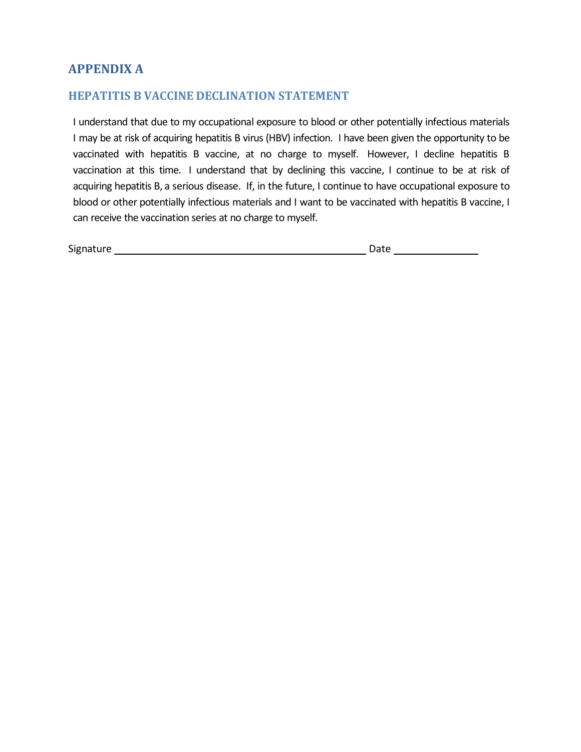# <span id="page-12-0"></span>**APPENDIX A**

## <span id="page-12-1"></span>**HEPATITIS B VACCINE DECLINATION STATEMENT**

I understand that due to my occupational exposure to blood or other potentially infectious materials I may be at risk of acquiring hepatitis B virus (HBV) infection. I have been given the opportunity to be vaccinated with hepatitis B vaccine, at no charge to myself. However, I decline hepatitis B vaccination at this time. I understand that by declining this vaccine, I continue to be at risk of acquiring hepatitis B, a serious disease. If, in the future, I continue to have occupational exposure to blood or other potentially infectious materials and I want to be vaccinated with hepatitis B vaccine, I can receive the vaccination series at no charge to myself.

| Signature | лате |  |
|-----------|------|--|
|           |      |  |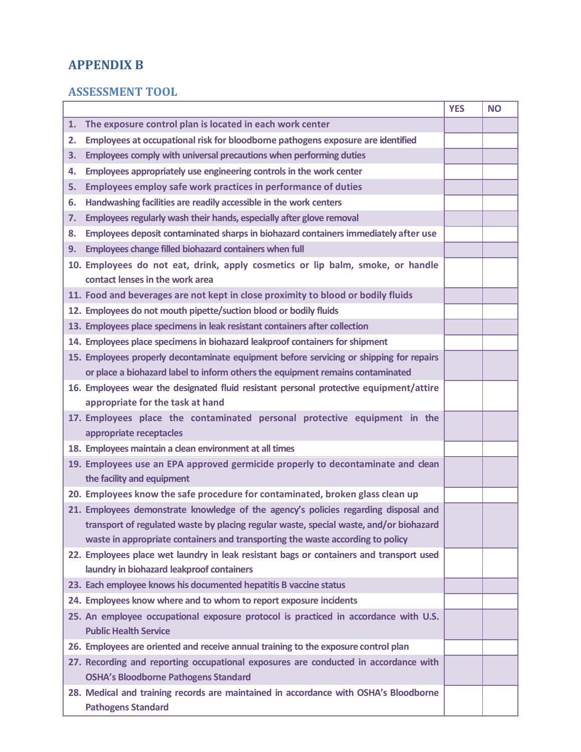# <span id="page-13-0"></span>**APPENDIX B**

# <span id="page-13-1"></span>**ASSESSMENT TOOL**

|    |                                                                                                                     | <b>YES</b> | <b>NO</b> |
|----|---------------------------------------------------------------------------------------------------------------------|------------|-----------|
| 1. | The exposure control plan is located in each work center                                                            |            |           |
| 2. | Employees at occupational risk for bloodborne pathogens exposure are identified                                     |            |           |
| 3. | Employees comply with universal precautions when performing duties                                                  |            |           |
| 4. | Employees appropriately use engineering controls in the work center                                                 |            |           |
| 5. | <b>Employees employ safe work practices in performance of duties</b>                                                |            |           |
| 6. | Handwashing facilities are readily accessible in the work centers                                                   |            |           |
| 7. | Employees regularly wash their hands, especially after glove removal                                                |            |           |
| 8. | Employees deposit contaminated sharps in biohazard containers immediately after use                                 |            |           |
| 9. | Employees change filled biohazard containers when full                                                              |            |           |
|    | 10. Employees do not eat, drink, apply cosmetics or lip balm, smoke, or handle                                      |            |           |
|    | contact lenses in the work area                                                                                     |            |           |
|    | 11. Food and beverages are not kept in close proximity to blood or bodily fluids                                    |            |           |
|    | 12. Employees do not mouth pipette/suction blood or bodily fluids                                                   |            |           |
|    | 13. Employees place specimens in leak resistant containers after collection                                         |            |           |
|    | 14. Employees place specimens in biohazard leakproof containers for shipment                                        |            |           |
|    | 15. Employees properly decontaminate equipment before servicing or shipping for repairs                             |            |           |
|    | or place a biohazard label to inform others the equipment remains contaminated                                      |            |           |
|    | 16. Employees wear the designated fluid resistant personal protective equipment/attire                              |            |           |
|    | appropriate for the task at hand                                                                                    |            |           |
|    | 17. Employees place the contaminated personal protective equipment in the<br>appropriate receptacles                |            |           |
|    | 18. Employees maintain a clean environment at all times                                                             |            |           |
|    | 19. Employees use an EPA approved germicide properly to decontaminate and clean<br>the facility and equipment       |            |           |
|    | 20. Employees know the safe procedure for contaminated, broken glass clean up                                       |            |           |
|    | 21. Employees demonstrate knowledge of the agency's policies regarding disposal and                                 |            |           |
|    | transport of regulated waste by placing regular waste, special waste, and/or biohazard                              |            |           |
|    | waste in appropriate containers and transporting the waste according to policy                                      |            |           |
|    | 22. Employees place wet laundry in leak resistant bags or containers and transport used                             |            |           |
|    | laundry in biohazard leakproof containers                                                                           |            |           |
|    | 23. Each employee knows his documented hepatitis B vaccine status                                                   |            |           |
|    | 24. Employees know where and to whom to report exposure incidents                                                   |            |           |
|    | 25. An employee occupational exposure protocol is practiced in accordance with U.S.<br><b>Public Health Service</b> |            |           |
|    | 26. Employees are oriented and receive annual training to the exposure control plan                                 |            |           |
|    | 27. Recording and reporting occupational exposures are conducted in accordance with                                 |            |           |
|    | <b>OSHA's Bloodborne Pathogens Standard</b>                                                                         |            |           |
|    | 28. Medical and training records are maintained in accordance with OSHA's Bloodborne                                |            |           |
|    | <b>Pathogens Standard</b>                                                                                           |            |           |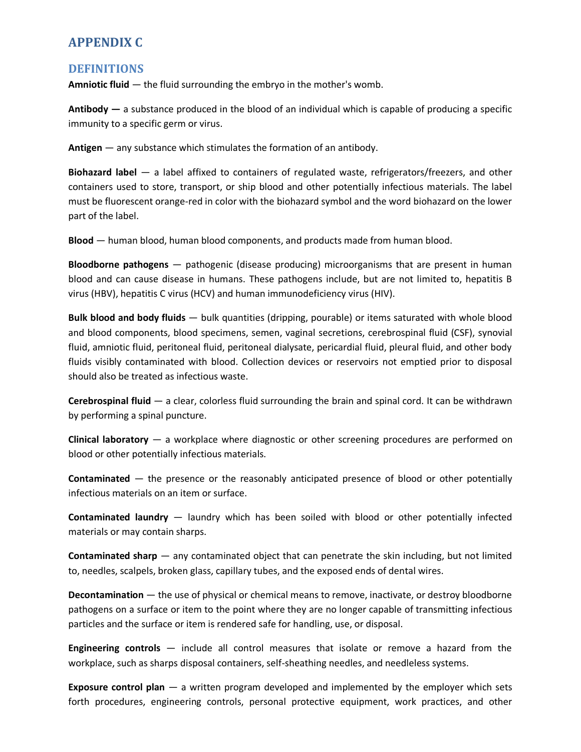# <span id="page-14-0"></span>**APPENDIX C**

#### <span id="page-14-1"></span>**DEFINITIONS**

**Amniotic fluid** — the fluid surrounding the embryo in the mother's womb.

**Antibody —** a substance produced in the blood of an individual which is capable of producing a specific immunity to a specific germ or virus.

**Antigen** — any substance which stimulates the formation of an antibody.

**Biohazard label** — a label affixed to containers of regulated waste, refrigerators/freezers, and other containers used to store, transport, or ship blood and other potentially infectious materials. The label must be fluorescent orange-red in color with the biohazard symbol and the word biohazard on the lower part of the label.

**Blood** — human blood, human blood components, and products made from human blood.

**Bloodborne pathogens** — pathogenic (disease producing) microorganisms that are present in human blood and can cause disease in humans. These pathogens include, but are not limited to, hepatitis B virus (HBV), hepatitis C virus (HCV) and human immunodeficiency virus (HIV).

**Bulk blood and body fluids** — bulk quantities (dripping, pourable) or items saturated with whole blood and blood components, blood specimens, semen, vaginal secretions, cerebrospinal fluid (CSF), synovial fluid, amniotic fluid, peritoneal fluid, peritoneal dialysate, pericardial fluid, pleural fluid, and other body fluids visibly contaminated with blood. Collection devices or reservoirs not emptied prior to disposal should also be treated as infectious waste.

**Cerebrospinal fluid** — a clear, colorless fluid surrounding the brain and spinal cord. It can be withdrawn by performing a spinal puncture.

**Clinical laboratory** — a workplace where diagnostic or other screening procedures are performed on blood or other potentially infectious materials.

**Contaminated** — the presence or the reasonably anticipated presence of blood or other potentially infectious materials on an item or surface.

**Contaminated laundry** — laundry which has been soiled with blood or other potentially infected materials or may contain sharps.

**Contaminated sharp** — any contaminated object that can penetrate the skin including, but not limited to, needles, scalpels, broken glass, capillary tubes, and the exposed ends of dental wires.

**Decontamination** — the use of physical or chemical means to remove, inactivate, or destroy bloodborne pathogens on a surface or item to the point where they are no longer capable of transmitting infectious particles and the surface or item is rendered safe for handling, use, or disposal.

**Engineering controls** — include all control measures that isolate or remove a hazard from the workplace, such as sharps disposal containers, self-sheathing needles, and needleless systems.

**Exposure control plan** — a written program developed and implemented by the employer which sets forth procedures, engineering controls, personal protective equipment, work practices, and other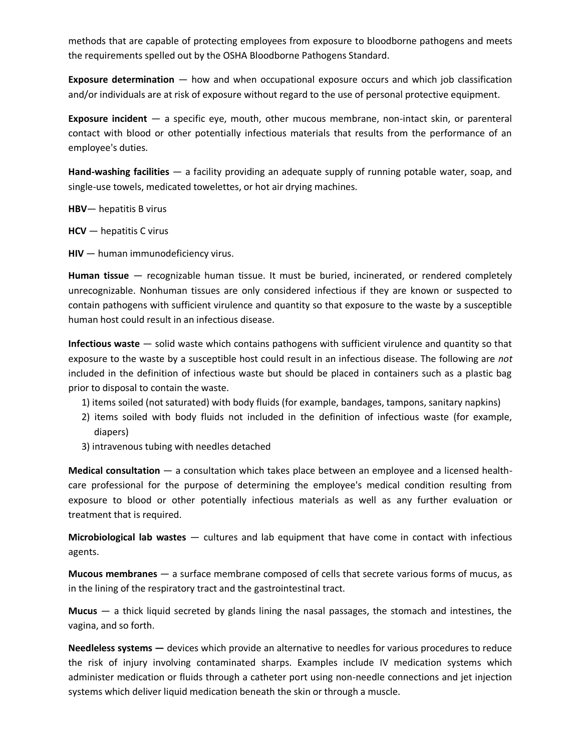methods that are capable of protecting employees from exposure to bloodborne pathogens and meets the requirements spelled out by the OSHA Bloodborne Pathogens Standard.

**Exposure determination** — how and when occupational exposure occurs and which job classification and/or individuals are at risk of exposure without regard to the use of personal protective equipment.

**Exposure incident** — a specific eye, mouth, other mucous membrane, non-intact skin, or parenteral contact with blood or other potentially infectious materials that results from the performance of an employee's duties.

**Hand-washing facilities** — a facility providing an adequate supply of running potable water, soap, and single-use towels, medicated towelettes, or hot air drying machines.

**HBV**— hepatitis B virus

**HCV** — hepatitis C virus

**HIV** — human immunodeficiency virus.

**Human tissue** — recognizable human tissue. It must be buried, incinerated, or rendered completely unrecognizable. Nonhuman tissues are only considered infectious if they are known or suspected to contain pathogens with sufficient virulence and quantity so that exposure to the waste by a susceptible human host could result in an infectious disease.

**Infectious waste** — solid waste which contains pathogens with sufficient virulence and quantity so that exposure to the waste by a susceptible host could result in an infectious disease. The following are *not*  included in the definition of infectious waste but should be placed in containers such as a plastic bag prior to disposal to contain the waste.

- 1) items soiled (not saturated) with body fluids (for example, bandages, tampons, sanitary napkins)
- 2) items soiled with body fluids not included in the definition of infectious waste (for example, diapers)
- 3) intravenous tubing with needles detached

**Medical consultation** — a consultation which takes place between an employee and a licensed healthcare professional for the purpose of determining the employee's medical condition resulting from exposure to blood or other potentially infectious materials as well as any further evaluation or treatment that is required.

**Microbiological lab wastes** — cultures and lab equipment that have come in contact with infectious agents.

**Mucous membranes** — a surface membrane composed of cells that secrete various forms of mucus, as in the lining of the respiratory tract and the gastrointestinal tract.

**Mucus** — a thick liquid secreted by glands lining the nasal passages, the stomach and intestines, the vagina, and so forth.

**Needleless systems —** devices which provide an alternative to needles for various procedures to reduce the risk of injury involving contaminated sharps. Examples include IV medication systems which administer medication or fluids through a catheter port using non-needle connections and jet injection systems which deliver liquid medication beneath the skin or through a muscle.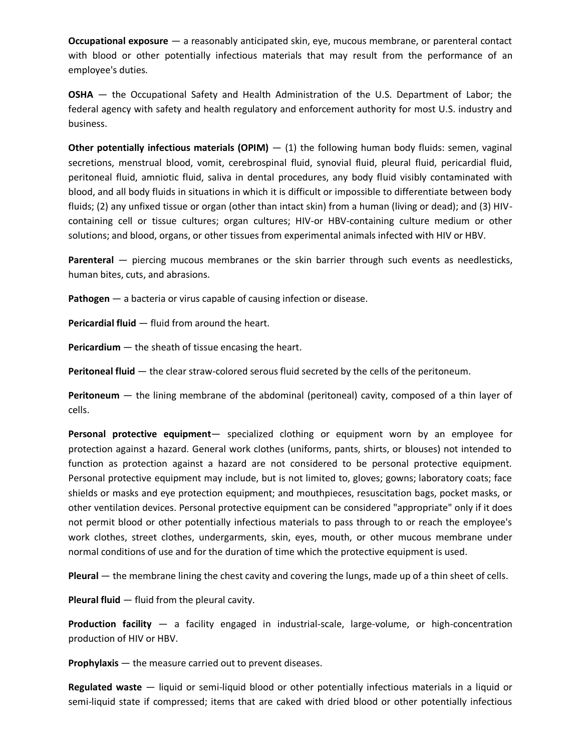**Occupational exposure** — a reasonably anticipated skin, eye, mucous membrane, or parenteral contact with blood or other potentially infectious materials that may result from the performance of an employee's duties.

**OSHA** — the Occupational Safety and Health Administration of the U.S. Department of Labor; the federal agency with safety and health regulatory and enforcement authority for most U.S. industry and business.

**Other potentially infectious materials (OPIM)** – (1) the following human body fluids: semen, vaginal secretions, menstrual blood, vomit, cerebrospinal fluid, synovial fluid, pleural fluid, pericardial fluid, peritoneal fluid, amniotic fluid, saliva in dental procedures, any body fluid visibly contaminated with blood, and all body fluids in situations in which it is difficult or impossible to differentiate between body fluids; (2) any unfixed tissue or organ (other than intact skin) from a human (living or dead); and (3) HIVcontaining cell or tissue cultures; organ cultures; HIV-or HBV-containing culture medium or other solutions; and blood, organs, or other tissues from experimental animals infected with HIV or HBV.

**Parenteral** — piercing mucous membranes or the skin barrier through such events as needlesticks, human bites, cuts, and abrasions.

**Pathogen** — a bacteria or virus capable of causing infection or disease.

**Pericardial fluid** — fluid from around the heart.

**Pericardium** — the sheath of tissue encasing the heart.

**Peritoneal fluid** — the clear straw-colored serous fluid secreted by the cells of the peritoneum.

**Peritoneum** — the lining membrane of the abdominal (peritoneal) cavity, composed of a thin layer of cells.

**Personal protective equipment**— specialized clothing or equipment worn by an employee for protection against a hazard. General work clothes (uniforms, pants, shirts, or blouses) not intended to function as protection against a hazard are not considered to be personal protective equipment. Personal protective equipment may include, but is not limited to, gloves; gowns; laboratory coats; face shields or masks and eye protection equipment; and mouthpieces, resuscitation bags, pocket masks, or other ventilation devices. Personal protective equipment can be considered "appropriate" only if it does not permit blood or other potentially infectious materials to pass through to or reach the employee's work clothes, street clothes, undergarments, skin, eyes, mouth, or other mucous membrane under normal conditions of use and for the duration of time which the protective equipment is used.

**Pleural** — the membrane lining the chest cavity and covering the lungs, made up of a thin sheet of cells.

**Pleural fluid** — fluid from the pleural cavity.

**Production facility** — a facility engaged in industrial-scale, large-volume, or high-concentration production of HIV or HBV.

**Prophylaxis** — the measure carried out to prevent diseases.

**Regulated waste** — liquid or semi-liquid blood or other potentially infectious materials in a liquid or semi-liquid state if compressed; items that are caked with dried blood or other potentially infectious